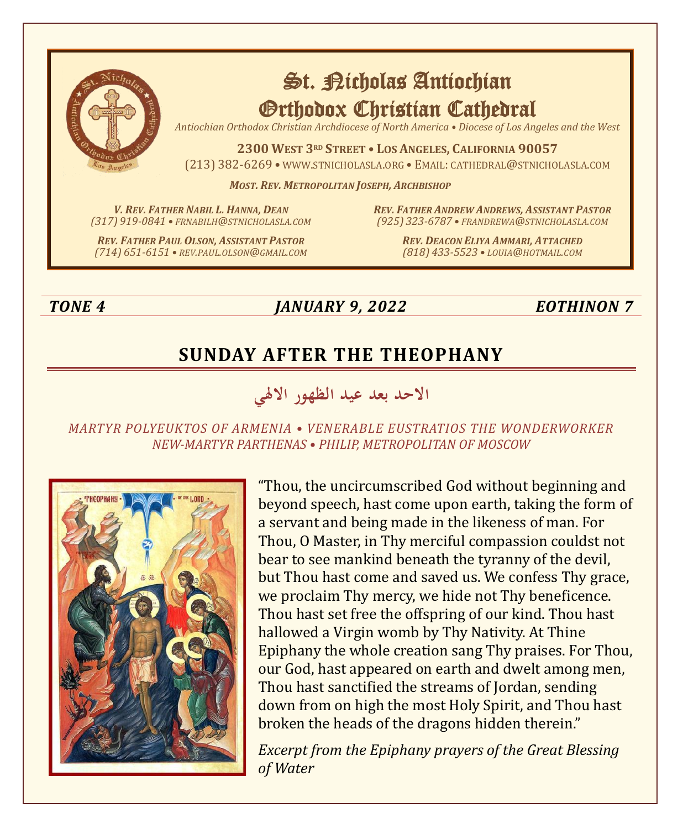

# St. Richolas Antiochian Orthodox Christian Cathedral

*Antiochian Orthodox Christian Archdiocese of North America • Diocese of Los Angeles and the West*

**2300 WEST 3RD STREET • LOS ANGELES, CALIFORNIA 90057** (213) 382-6269 • WWW.STNICHOLASLA.ORG • EMAIL: CATHEDRAL@STNICHOLASLA.COM

*MOST. REV. METROPOLITAN JOSEPH, ARCHBISHOP*

*V. REV. FATHER NABIL L. HANNA, DEAN (317) 919-0841 • FRNABILH@STNICHOLASLA.COM* *REV. FATHER ANDREW ANDREWS, ASSISTANT PASTOR (925) 323-6787 • FRANDREWA@STNICHOLASLA.COM*

*REV. FATHER PAUL OLSON, ASSISTANT PASTOR (714) 651-6151 • REV.PAUL.OLSON@GMAIL.COM* *REV. DEACON ELIYA AMMARI, ATTACHED (818) 433-5523 • LOUIA@HOTMAIL.COM*

## *TONE 4 JANUARY 9, 2022 EOTHINON 7*

# **SUNDAY AFTER THE THEOPHANY**

**االحد بعد عيد الظهور ا الهلي** 

#### *MARTYR POLYEUKTOS OF ARMENIA • VENERABLE EUSTRATIOS THE WONDERWORKER NEW-MARTYR PARTHENAS • PHILIP, METROPOLITAN OF MOSCOW*



"Thou, the uncircumscribed God without beginning and beyond speech, hast come upon earth, taking the form of a servant and being made in the likeness of man. For Thou, O Master, in Thy merciful compassion couldst not bear to see mankind beneath the tyranny of the devil, but Thou hast come and saved us. We confess Thy grace, we proclaim Thy mercy, we hide not Thy beneficence. Thou hast set free the offspring of our kind. Thou hast hallowed a Virgin womb by Thy Nativity. At Thine Epiphany the whole creation sang Thy praises. For Thou, our God, hast appeared on earth and dwelt among men, Thou hast sanctified the streams of Jordan, sending down from on high the most Holy Spirit, and Thou hast broken the heads of the dragons hidden therein."

*Excerpt from the Epiphany prayers of the Great Blessing of Water*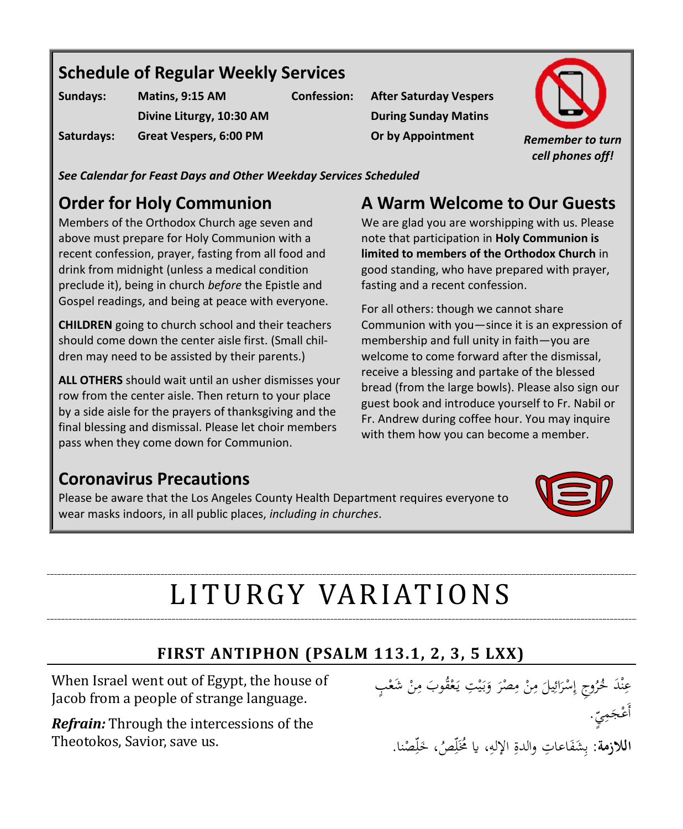# **Schedule of Regular Weekly Services**

| Sundays:   | Matins, 9:15 AM          |  |
|------------|--------------------------|--|
|            | Divine Liturgy, 10:30 AM |  |
| Saturdays: | Great Vespers, 6:00 PM   |  |

**Confession: After Saturday Vespers During Sunday Matins**



*See Calendar for Feast Days and Other Weekday Services Scheduled*

# **Order for Holy Communion**

Members of the Orthodox Church age seven and above must prepare for Holy Communion with a recent confession, prayer, fasting from all food and drink from midnight (unless a medical condition preclude it), being in church *before* the Epistle and Gospel readings, and being at peace with everyone.

**CHILDREN** going to church school and their teachers should come down the center aisle first. (Small children may need to be assisted by their parents.)

**ALL OTHERS** should wait until an usher dismisses your row from the center aisle. Then return to your place by a side aisle for the prayers of thanksgiving and the final blessing and dismissal. Please let choir members pass when they come down for Communion.

# **A Warm Welcome to Our Guests**

We are glad you are worshipping with us. Please note that participation in **Holy Communion is limited to members of the Orthodox Church** in good standing, who have prepared with prayer, fasting and a recent confession.

For all others: though we cannot share Communion with you—since it is an expression of membership and full unity in faith—you are welcome to come forward after the dismissal, receive a blessing and partake of the blessed bread (from the large bowls). Please also sign our guest book and introduce yourself to Fr. Nabil or Fr. Andrew during coffee hour. You may inquire with them how you can become a member.

## **Coronavirus Precautions**

Please be aware that the Los Angeles County Health Department requires everyone to wear masks indoors, in all public places, *including in churches*.



# LITURGY VARIATIONS

## **FIRST ANTIPHON (PSALM 113.1, 2, 3, 5 LXX)**

When Israel went out of Egypt, the house of Jacob from a people of strange language.

*Refrain:* Through the intercessions of the Theotokos, Savior, save us.

 $\overline{\phantom{a}}$ عِنْدَ خُرُوجِ إِسْرَائِيلَ مِنْ مِصْرَ وَبَيْتِ يَعْقُوبَ مِنْ شَعْبٍ<br>ِ ن  $\overline{\phantom{0}}$ ِ<br>ئ ر<br>ا **ٔ** إ .<br>.  $\overline{a}$  $\overline{\phantom{a}}$ ِ **∶** ي ب<br>: ر ْ يہ<br>. ْ į أَعْجَمِيِّ. 3 <mark>اللازمة</mark>: بِشَفَاعاتِ والدةِ الإلهِ، يا مُخَلِّصُ، خَلِّصْنا. è ِ<br>ب ب  $\ddot{\tilde{c}}$ ِ ٳٚ ٳٚ .<br>.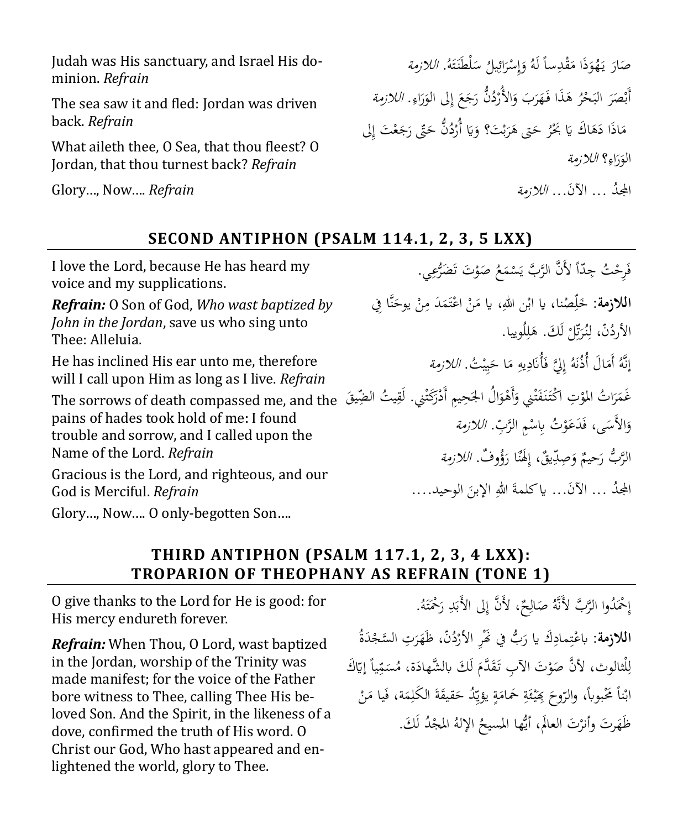Judah was His sanctuary, and Israel His dominion. *Refrain*

The sea saw it and fled: Jordan was driven back. *Refrain*

What aileth thee, O Sea, that thou fleest? O Jordan, that thou turnest back? *Refrain*

Glory…, Now…. *Refrain*

 $\overline{\phantom{a}}$ صَارَ يَهُوَذَا مَقْدِساً لَهُ وَإِسْرَائِيلُ سَلْطَنَتَهُ. *اللازمة*  $\overline{\phantom{a}}$ يا<br>.  $\overline{\phantom{a}}$ ِ<br>ئ J **ٔ** إ ۯ Ï ت  $\ddot{\phantom{0}}$ ĵ J أَبْصَرَ البَحْرُ هَذَا فَهَرَبَ وَالأُرْدُنُّ رَجَعَ إِلى الوَرَاءِ. *اللازمة*  $\ddot{\phantom{0}}$ ْ â  $\triangleleft$ ر<br>ا ۯ  $\zeta$ .<br>. ِ ر<br>ا ر مَاذَا دَهَاكَ يَا بَحْرُ حَتّى هَرَبْتَ؟ وَيَا أُرْدُنُّ حَتّى رَجَعْتَ إِلَى  $\overline{\phantom{a}}$ A .<br>: ້<br>. ب  $\overline{\phantom{a}}$  $\overline{a}$ .<br>: ر ر<br>أ .<br>. الوَرَاءِ؟ *اللازمة* ِ ر<br>( و المجدُ … الآنَ... *اللازمة* 

#### **SECOND ANTIPHON (PSALM 114.1, 2, 3, 5 LXX)**

I love the Lord, because He has heard my voice and my supplications. *Refrain:* O Son of God, *Who wast baptized by John in the Jordan*, save us who sing unto Thee: Alleluia. He has inclined His ear unto me, therefore will I call upon Him as long as I live. *Refrain* The sorrows of death compassed me, and the

pains of hades took hold of me: I found trouble and sorrow, and I called upon the Name of the Lord. *Refrain*

Gracious is the Lord, and righteous, and our God is Merciful. *Refrain*

Glory…, Now…. O only-begotten Son….

| فَرِحْتُ جِدّاً لأَنَّ الرَّبَّ يَسْمَعُ صَوْتَ تَضَرُّعِي.                               |  |
|-------------------------------------------------------------------------------------------|--|
| <b>اللازمة</b> : حَلِّصْنا، يا ابْن اللهِ، يا مَنْ اعْتَمَدَ مِنْ يوحَنَّا فِي            |  |
| الأردُنّ، لِنُرَتِّلْ لَكَ. هَلِلُوييا.                                                   |  |
| إِنَّهُ أَمَالَ أُذُنَهُ إِلِيَّ فَأُنَادِيهِ مَا حَيِيْتُ. <i>اللازمة</i>                |  |
| غَمَرَاتُ المؤتِ اكْتَنَفَتْنِي وَأَهْوَالُ الجَحِيمِ أَدْرَكَتْنِي. لَقِيتُ الضِّيقَ ۚ و |  |
| وَالأَسَى، فَدَعَوْتُ بِاسْمِ الرَّبِّ. <i>اللازمة</i>                                    |  |
| الرَّبُّ رَحيمٌ وَصِدِّيقٌ، إِلَهُنَا رَؤُوفٌ. <i>اللازمة</i>                             |  |
| المجدُ … الآنَ… ياكلمةَ اللهِ الإبنَ الوحيد….                                             |  |
|                                                                                           |  |

#### **THIRD ANTIPHON (PSALM 117.1, 2, 3, 4 LXX): TROPARION OF THEOPHANY AS REFRAIN (TONE 1)**

O give thanks to the Lord for He is good: for His mercy endureth forever.

*Refrain:* When Thou, O Lord, wast baptized in the Jordan, worship of the Trinity was made manifest; for the voice of the Father bore witness to Thee, calling Thee His beloved Son. And the Spirit, in the likeness of a dove, confirmed the truth of His word. O Christ our God, Who hast appeared and enlightened the world, glory to Thee.

إِحْمَدُوا الرَّبَّ لأَنَّهُ صَالِحٌ، لأَنَّ إِلى الأَبَدِ رَحْمَتَهُ. ِ ِ ì  $\ddot{ }$ ت  $\ddot{\phantom{0}}$ **اللازمة**: باعْتِمادِكَ يا رَبُّ في نَّهْرِ الأرْدُنّ، ظَهَرَتِ السَّجْدَةُ ر<br>ا **ٔ** J  $\triangleleft$ ر<br>ا  $\overline{\phantom{a}}$ ِ ; ت ا<br>أ لِلْثالوث، لأَنَّ صَوْتَ الآبِ تَقَدَّمَ لَكَ بالشَّهادَة، مُسَمِّياً إيّاكَ  $\ddot{\phantom{0}}$ ِ<br>مُ Î  $\ddot{ }$ ل مُ Ä لِلْثالوث، لأنَّ صَوْتَ الآبِ تَقَدَّمَ لَكَ بالشَّهادَة، مُسَمِّياً إيَّ<br>ابْناً مَحْبوباً، والرّوحَ مِِمَّئَةِ حَمامَةٍ يؤيِّدُ حَقيقَةَ الكَلِمَة، فَيا مَنْ  $\overline{\phantom{a}}$ فبأ  $\overline{ }$ ِ  $\ddot{\phantom{a}}$ ້<br>. ä  $\overline{\phantom{a}}$ **تة** Å ئ **∶** .<br>.  $\zeta$ **ٔ** ظَهَرتَ وأنزتَ العالَمُ، أَيُّها المسيحُ الإلهُ المِجْدُ لَكَ.<br>-ل **ٔ**  $\triangleleft$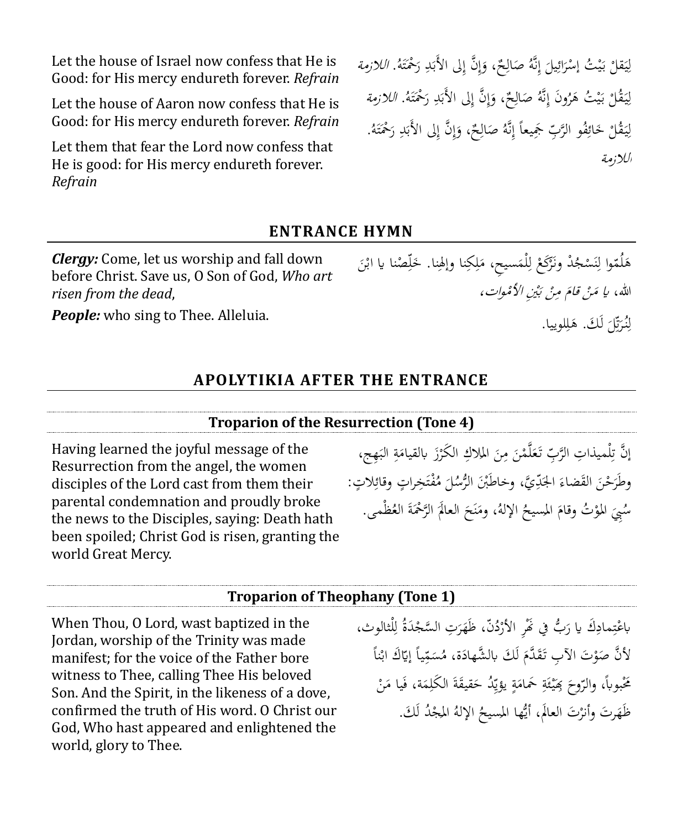Let the house of Israel now confess that He is Good: for His mercy endureth forever. *Refrain*

Let the house of Aaron now confess that He is Good: for His mercy endureth forever. *Refrain*

Let them that fear the Lord now confess that He is good: for His mercy endureth forever. *Refrain*

ْ لِيَقلْ بَيْتُ إِسْرَائِيلَ إِنَّهُ صَالِحٌ، وَإِنَّ إِلَى الأَبَدِ رَحْمَتَهُ. *اللازمة*  $\ddot{\cdot}$ ي ِ ي ب<br>.  $\overline{\phantom{0}}$ ِ<br>ئ J **ـ** ِ  $\overline{a}$ ا ب<br>. ب ï ت ľ ْ لِيَقْلْ بَيْتُ هَرُونَ إِنَّهُ صَالِحٌ، وَإِنَّ إِلَى الأَبَدِ رَحْمَتَهُ. *اللازمة*  $\ddot{\phantom{0}}$ ِ ي ب<br>: â ِ  $\overline{a}$ ا ب<br>. ï ت ľ **ٔ** لِيَقْلْ خَائِفُو الرَّبِّ جَمِيعاً إِنَّهُ صَالِحٌ، وَإِنَّ إِلَى الأَبَدِ رَحْمَتَهُ.  $\ddot{\phantom{0}}$ ؚ<br>ٳ ِ<br>ئا .<br>. ِ ì ا ب<br>.  $\ddot{\phantom{0}}$ ت  $\ddot{\phantom{0}}$ الالزمةَ

#### **ENTRANCE HYMN**

*Clergy:* Come, let us worship and fall down before Christ. Save us, O Son of God, *Who art risen from the dead*,

*People:* who sing to Thee. Alleluia.

هَلُمّوا لِنَسْجُدْ وَنَرْكَعْ لِلْمَسيحِ، مَلِكِنا وإلهِنا. خَلِّصْنا يا ابْنَ ِ ِ  $\overline{\phantom{a}}$ ِ ل <u>់</u> ر<br>ا ن ِ a į ٳٚ .<br>. الله، *يا مَنْ قامَ مِنْ بَيْنِ الأَمْوات،*  $\overline{\phantom{0}}$ لِنُرَيِّلَ لَكَ. هَلِلوييا. ِ تة<br>ت J ِ ِ a ل

#### **APOLYTIKIA AFTER THE ENTRANCE**

#### **Troparion of the Resurrection (Tone 4)**

Having learned the joyful message of the Resurrection from the angel, the women disciples of the Lord cast from them their parental condemnation and proudly broke the news to the Disciples, saying: Death hath been spoiled; Christ God is risen, granting the world Great Mercy.

ِ إنَّ تِلْميذاتِ الرَّبِّ تَعَلَّمْنَ مِنَ الملاكِ الكَرْزَ بالقيامَةِ البَهِج،  $\ddot{\cdot}$ ة<br>4  $\overline{a}$ ر<br>أ  $\overline{a}$  $\ddot{\phantom{0}}$ ِم  $\ddot{\phantom{0}}$ **ه** , وطَرَحْنَ القَضاءَ الجَدِّيَّ، وخاطَبْنَ الرُّسُلَ مُفْتَخِراتٍ وقائِلاتٍ: ï ت .<br>م  $\overline{a}$  $\overline{\phantom{a}}$  $\ddot{\phantom{0}}$  $\overline{\phantom{a}}$ سُبِيَ المَوْتُ وقامَ المسيحُ الإلهُ، ومَنَحَ العالَمَ الرَّحْمَةَ العُظْمى. ä  $\left($  $\zeta$ ن  $\overline{\phantom{a}}$ مُ  $\ddot{\phantom{0}}$ 

#### **Troparion of Theophany (Tone 1)**

When Thou, O Lord, wast baptized in the Jordan, worship of the Trinity was made manifest; for the voice of the Father bore witness to Thee, calling Thee His beloved Son. And the Spirit, in the likeness of a dove, confirmed the truth of His word. O Christ our God, Who hast appeared and enlightened the world, glory to Thee.

باعْتِمادِكَ يا رَبُّ في نَهْرِ الأَرْدُنَّ، ظَهَرَتِ السَّجْدَةُ لِلْثالوث، ِ ر<br>ا .<br>. J  $\triangleleft$ <u>ّ</u> J <u>ِ</u> ِ ت ا<br>ا  $\overline{\phantom{a}}$ لأَنَّ صَوْتَ الآبِ تَقَدَّمَ لَكَ بالشَّهادَة، مُسَمِّياً إيّاكَ ابْناً ْ ِ<br>م Î ì ل مُ Ä  $\overline{a}$  $\overline{ }$ تَحْبوباً، والرّوحَ مِمْيئَةِ حَمامَةٍ يؤيِّدُ حَقيقَةَ الكَلِمَة، فَيا مَنْ ِ ä ້<br>. ä  $\overline{\phantom{a}}$ <u>بة</u> Å ئ **∶** ب<br>أ  $\zeta$ .<br>.  $\overline{\phantom{a}}$ ف ظَهَرتَ وأنزْتَ العالَم، أَيُّها المسيحُ الإلهُ المحِبْدُ لَكَ.<br>-ز<br>أ **ٔ**  $\triangleleft$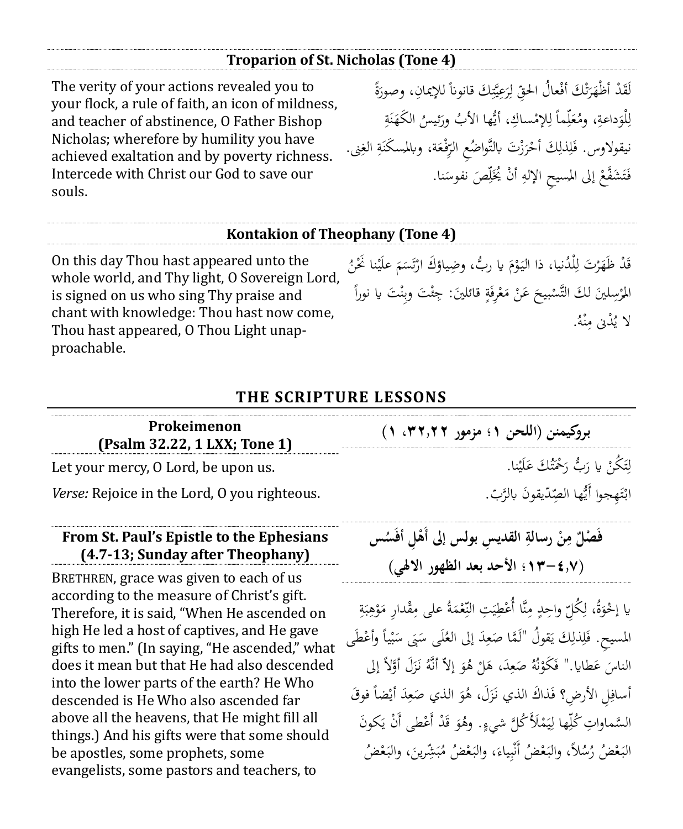#### **Troparion of St. Nicholas (Tone 4)**

The verity of your actions revealed you to your flock, a rule of faith, an icon of mildness, and teacher of abstinence, O Father Bishop Nicholas; wherefore by humility you have achieved exaltation and by poverty richness. Intercede with Christ our God to save our souls.

ë لَقَدْ أظْهَرَتْكَ أفْعالُ الحقِّ لِرَعِيَّتِكَ قانوناً للإيمانِ، وصورَةً Ï ِ ي  $\overline{\phantom{a}}$ ؚ<br>إ ل ِ ت ر<br>ً  $\triangleleft$ لْوَداعةِ، ومُعَلِّماً لِلإِمْساكِ، أَيُّها الأَبُ ورَئيسُ الكَهَنَةِ<br>. ِ ٳٚ î ة<br>4 ر ِ ل <u>بة</u>  $\ddot{\cdot}$ ن  $\triangleleft$ ر<br>أ نيقولاوس. فَلِذْلِكَ أَحْرَزْتَ بالتَّواضُعِ الرِّفْعَة، وبالمسكَنَةِ الغِنى. ہ<br>ا  $\ddot{\phantom{0}}$ î ِ ر<br>ً ْ ِ ِ ف فَتَشَفَّعْ إلى المسيحِ الإلهِ أَنْ يُخَلِّصَ نفوسَنا. ŕ. ِ أ ِ **ٔ** ت .<br>فر

#### **Kontakion of Theophany (Tone 4)**

On this day Thou hast appeared unto the whole world, and Thy light, O Sovereign Lord, is signed on us who sing Thy praise and chant with knowledge: Thou hast now come, Thou hast appeared, O Thou Light unapproachable.

قَدْ ظَهَرْتَ لِلْدُنيا، ذا اليَوْمَ يا ربُّ، وضِياؤكَ ارْتَسَمَ علَيْنا نَحْنُ **∶** ľ Î ت ر<br>ا مُ <u>ٔ</u>  $\ddot{\cdot}$ ِ  $\triangleleft$ المُرْسِلينَ لكَ التَّسْبيحَ عَنْ مَعْرِفَةٍ قائلينَ: جِئْتَ وبِنْتَ يا نوراً ٔ<br>ّ  $\overline{a}$ .<br>م ن ئ ä ْ  $\overline{\phantom{a}}$ .<br>.  $\zeta$ **ٔ** لا يُدْنِ مِنْهُ. ن ِم∕

#### **THE SCRIPTURE LESSONS**

| Prokeimenon<br>(Psalm 32.22, 1 LXX; Tone 1)         | بروكيمنن (اللحن ١؛ مزمور ٣٢,٢٢، ١)       |  |
|-----------------------------------------------------|------------------------------------------|--|
| Let your mercy, O Lord, be upon us.                 | لِتَكُنْ يا رَبُّ رَحْمَتُكَ عَلَيْنا.   |  |
| <i>Verse:</i> Rejoice in the Lord, 0 you righteous. | ابْتَهجوا أَيُّها الصِّدّيقونَ بالرَّبّ. |  |

#### **From St. Paul's Epistle to the Ephesians (4.7-13; Sunday after Theophany)**

BRETHREN, grace was given to each of us according to the measure of Christ's gift. Therefore, it is said, "When He ascended on high He led a host of captives, and He gave gifts to men." (In saying, "He ascended," what does it mean but that He had also descended into the lower parts of the earth? He Who descended is He Who also ascended far above all the heavens, that He might fill all things.) And his gifts were that some should be apostles, some prophets, some evangelists, some pastors and teachers, to

فَصْلٌ مِنْ رسالةِ القديسِ بولس إلى أهْلِ أفْسُس **ِ ْ ِ )13-4.7؛ األحد بعد الظهو ر االهلي(**

ِ يا إخْوَةُ، لِكُلِّ واحِدٍ مِنَّا أُعْطِيَتِ النِّعْمَةُ على مِقْدارِ مَوْهِبَةِ ِ و ة<br>4  $\ddot{\cdot}$ ب ِ ْ  $\overline{\phantom{a}}$ ِم  $\ddot{\phantom{0}}$ ِ  $\ddot{\cdot}$ ي ِ المسيح. فَلِذلِكَ يَقُولُ "لَمَّا صَعِدَ إلى العُلَى سَبَى سَبْياً وأَعْطَى ْ ْ ب  $\ddot{\phantom{0}}$  $\epsilon$ ل<br>ا ِ  $\ddot{\phantom{0}}$ يا<br>. ِ ِ ف الناسَ عَطايا." فَكُوْنُهُ صَعِدَ، هَلْ هُوَ إِلاَّ أَنَّهُ نَزَلَ أَوَّلاً إلى  $\overline{a}$ į و ْ ِ  $\overline{a}$ ن <u>ٔ</u> أسافِلِ الأرضِ؟ فَذاكَ الذي نَزَلَ، هُوَ الذي صَعِدَ أَيْضاً فوقَ ر į ِ  $\overline{\phantom{a}}$ **ٍ**  $\ddot{\phantom{0}}$ e<br>Si السَّماواتِ كُلِّها لِيَمْلَأَكُلَّ شيءٍ. وهُوَ قَدْ أَعْطى أَنْ يَكونَ **م**  $\ddot{\phantom{0}}$ ي ؚ<br>ٳ ٳٚ و البَعْضُ رُسُلاً، والبَعْضُ أُنْبِياءَ، والبَعْضُ مُبَشِّرينَ، والبَعْضُ  $\ddot{\cdot}$  $\ddot{\phantom{0}}$ ب  $\ddot{\cdot}$  $\overline{\phantom{a}}$ ِ ب :<br>:<br>:  $\ddot{\cdot}$  $\ddot{\cdot}$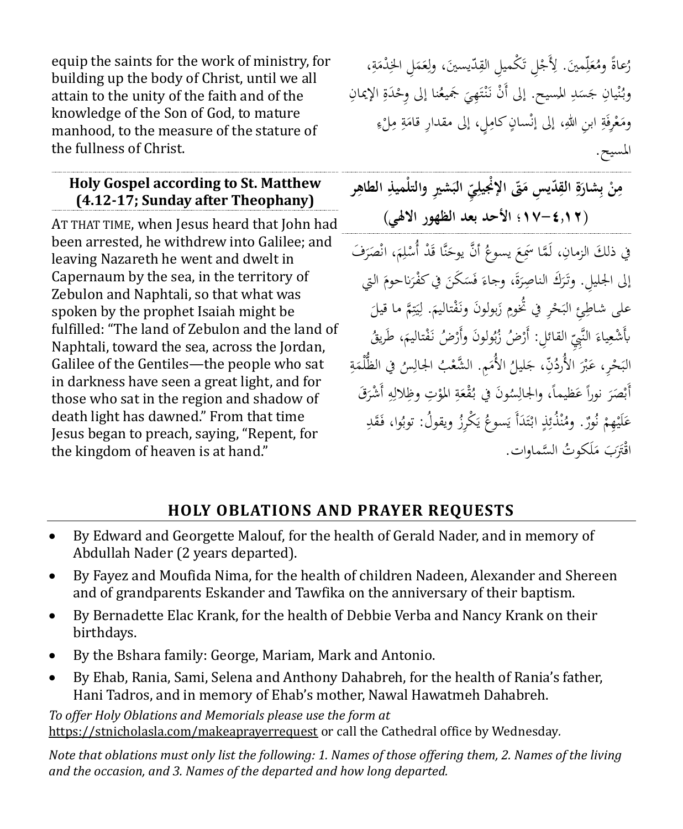equip the saints for the work of ministry, for building up the body of Christ, until we all attain to the unity of the faith and of the knowledge of the Son of God, to mature manhood, to the measure of the stature of the fullness of Christ.

#### **Holy Gospel according to St. Matthew (4.12-17; Sunday after Theophany)**

AT THAT TIME, when Jesus heard that John had been arrested, he withdrew into Galilee; and leaving Nazareth he went and dwelt in Capernaum by the sea, in the territory of Zebulon and Naphtali, so that what was spoken by the prophet Isaiah might be fulfilled: "The land of Zebulon and the land of Naphtali, toward the sea, across the Jordan, Galilee of the Gentiles—the people who sat in darkness have seen a great light, and for those who sat in the region and shadow of death light has dawned." From that time Jesus began to preach, saying, "Repent, for the kingdom of heaven is at hand."

رُعاةً ومُعَلِّمينَ. لِأَجْلِ تَكْميلِ القِدّيسينَ، ولِعَمَلِ الخِدْمَةِ، ٳٚ î ة<br>4  $\overline{a}$  $\ddot{\phantom{0}}$ î ِ ٍ<br>م ت<br>ا **ّ** وبُنْيانِ جَسَدِ المسيح. إلى أَنْ نَنْتَهِيَ جَميعُنا إلى وِحْدَةِ الإيمانِ  $\ddot{\phantom{0}}$  $\ddot{\cdot}$ ە<br>م ٍ<br>بِہ  $\overline{\phantom{a}}$ ْ پ<br>:  $\ddot{\phantom{0}}$ ت  $\ddot{\cdot}$ ِ ومَعْرِفَةِ ابنِ اللهِ، إلى إنْسانٍ كامِلٍ، إلى مقدارِ قامَةِ مِلْءِ **ٔ**  $\overline{a}$ **ت**ة  $\overline{\phantom{a}}$ ∕' ٍ<br>نه ْ  $\overline{\phantom{a}}$ المسيح.

**ّدي ِس ِ الق ِ ة َ ِشار ب ْ ن ِ َ ّت م م ر الطاهِ َش ِري والتلْميذِ ِ الب ّ ي ِ اإلْْنيل )-4.12 17؛ األحد بعد الظهور االهلي (** 

في ذلكَ الزمانِ، لَمَّا سَمِعَ يسوعُ أنَّ يوحَنَّا قَدْ أُسْلِمَ، انْصَرَفَ J  $\overline{a}$  $\mathfrak{g}$ ِ **ـ** ້<br>.  $\zeta$ إلى الجليلِ. وتَرَكَ الناصِرَةَ، وجاءَ فَسَكَنَ في كفْرَناحومَ التي<br>. مُ  $\overline{\phantom{a}}$ Î S י  $\overline{\phantom{a}}$ إلى الجليلِ. وتَرَكَ الناصِرَةَ، وجاءَ فَسَكَنَ في كفْرَناحومَ ال<sub>َّا</sub><br>على شاطِئِ البَحْرِ في تُحومِ زَبولونَ ونَفْتاليمَ. لِيَتِمَّ ما قيلَ<br>ِ .<br>م **ٍ** ْ ِ  $\overline{\phantom{0}}$ ِ ت  $\ddot{\phantom{0}}$ ي ِ ل بأَشْعِياءَ النَّبِيِّ القائلِ: أَرْضُ زُبُولونَ وأَرْضُ نَفْتاليمَ، طَرِيقُ<br>. ٢ .<br>م ب  $\overline{\phantom{a}}$ ِ البَحْرِ، عَبْرَ الأُردُنِّ، جَليلُ الأُمَمِ. الشَّعْبُ الجالِسُ في الظُّلْمَةِ<br>ِ  $\overline{\phantom{a}}$ .<br>.  $\overline{\phantom{a}}$ ْ ْ <u>بة</u>  $\overline{a}$ أَبْصَرَ نوراً عَظيماً، والجالِسُونَ في بُقْعَةِ المؤتِ وظِلالِهِ أَشْرَقَ<br>.  $\overline{\phantom{a}}$ ₫. ِ ْ  $\overline{\phantom{a}}$ <u>بة</u> , ِ ر<br>ً  $\ddot{\phantom{0}}$ عَلَيْهِمْ نُورٌ . ومُنْذُئِذٍ ابْتَدَأَ يَسوعُ يَكْرِزُ ويقولُ: توبُوا، فَقَدِ م<br>ز ْ **∶** ś يہ<br>. ي ر<br>ا ت **ٔ** ِ ن اقْتَرَبَ مَلَكوتُ السَّماوات.  $\overline{\phantom{a}}$ 

## **HOLY OBLATIONS AND PRAYER REQUESTS**

- By Edward and Georgette Malouf, for the health of Gerald Nader, and in memory of Abdullah Nader (2 years departed).
- By Fayez and Moufida Nima, for the health of children Nadeen, Alexander and Shereen and of grandparents Eskander and Tawfika on the anniversary of their baptism.
- By Bernadette Elac Krank, for the health of Debbie Verba and Nancy Krank on their birthdays.
- By the Bshara family: George, Mariam, Mark and Antonio.
- By Ehab, Rania, Sami, Selena and Anthony Dahabreh, for the health of Rania's father, Hani Tadros, and in memory of Ehab's mother, Nawal Hawatmeh Dahabreh.

*To offer Holy Oblations and Memorials please use the form at*  <https://stnicholasla.com/makeaprayerrequest> or call the Cathedral office by Wednesday*.* 

*Note that oblations must only list the following: 1. Names of those offering them, 2. Names of the living and the occasion, and 3. Names of the departed and how long departed.*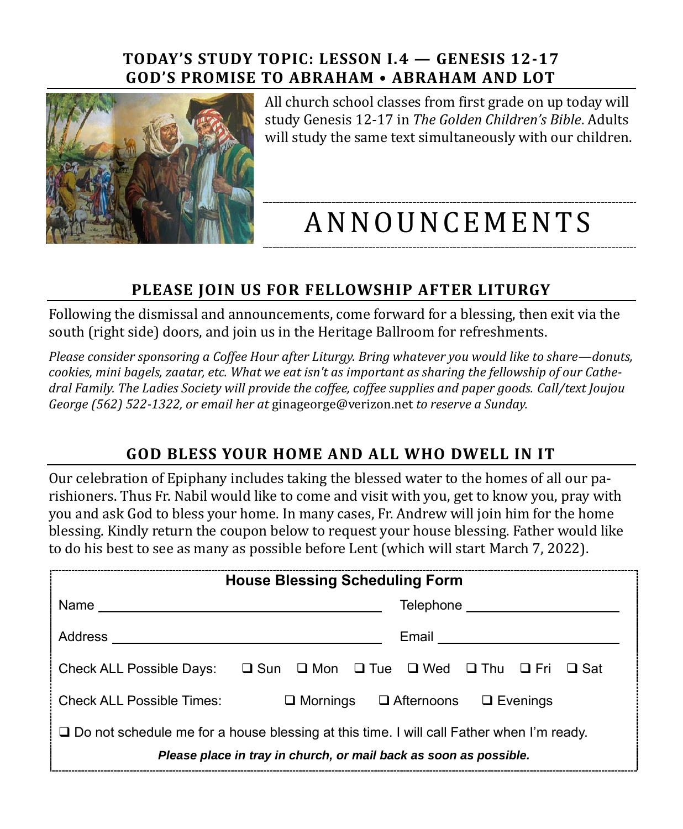#### **TODAY'S STUDY TOPIC: LESSON I.4 — GENESIS 12-17 GOD'S PROMISE TO ABRAHAM • ABRAHAM AND LOT**



All church school classes from first grade on up today will study Genesis 12-17 in *The Golden Children's Bible*. Adults will study the same text simultaneously with our children.

# A N N O U N CE M E N T S

### **PLEASE JOIN US FOR FELLOWSHIP AFTER LITURGY**

Following the dismissal and announcements, come forward for a blessing, then exit via the south (right side) doors, and join us in the Heritage Ballroom for refreshments.

*Please consider sponsoring a Coffee Hour after Liturgy. Bring whatever you would like to share—donuts, cookies, mini bagels, zaatar, etc. What we eat isn't as important as sharing the fellowship of our Cathedral Family. The Ladies Society will provide the coffee, coffee supplies and paper goods. Call/text Joujou George (562) 522-1322, or email her at* [ginageorge@verizon.net](mailto:ginageorge@verizon.net) *to reserve a Sunday.*

## **GOD BLESS YOUR HOME AND ALL WHO DWELL IN IT**

Our celebration of Epiphany includes taking the blessed water to the homes of all our parishioners. Thus Fr. Nabil would like to come and visit with you, get to know you, pray with you and ask God to bless your home. In many cases, Fr. Andrew will join him for the home blessing. Kindly return the coupon below to request your house blessing. Father would like to do his best to see as many as possible before Lent (which will start March 7, 2022).

| <b>House Blessing Scheduling Form</b>                                                                                                                                |                              |  |
|----------------------------------------------------------------------------------------------------------------------------------------------------------------------|------------------------------|--|
|                                                                                                                                                                      | Telephone __________________ |  |
| Address                                                                                                                                                              | Email ___________________    |  |
| Check ALL Possible Days: $\square$ Sun $\square$ Mon $\square$ Tue $\square$ Wed $\square$ Thu $\square$ Fri $\square$ Sat                                           |                              |  |
| Check ALL Possible Times: $\Box$ Mornings $\Box$ Afternoons $\Box$ Evenings                                                                                          |                              |  |
| $\Box$ Do not schedule me for a house blessing at this time. I will call Father when I'm ready.<br>Please place in tray in church, or mail back as soon as possible. |                              |  |